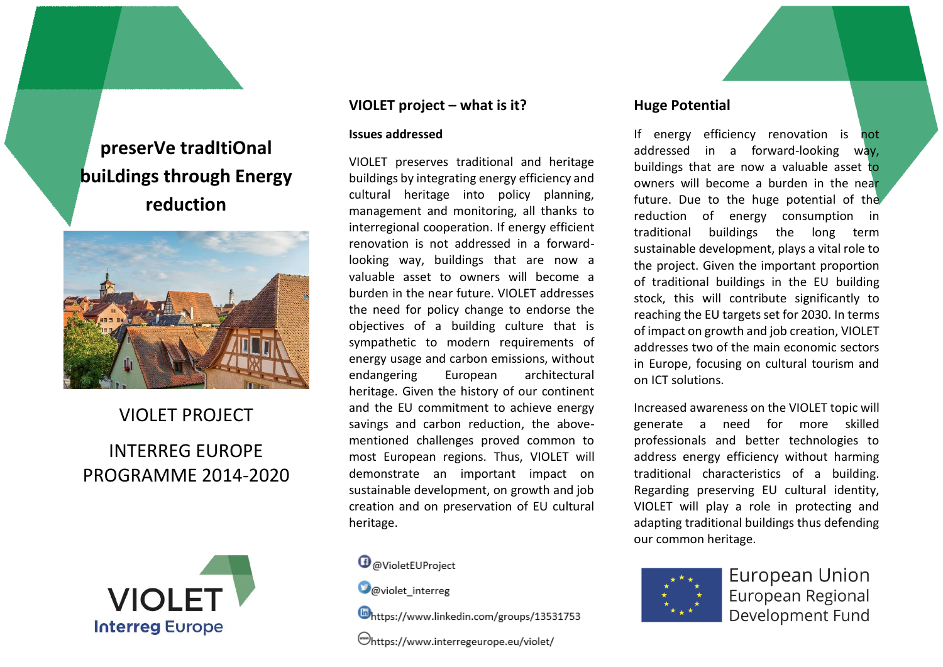# **preserVe tradItiOnal buiLdings through Energy reduction**



# VIOLET PROJECT INTERREG EUROPE PROGRAMME 2014-2020



### **VIOLET project – what is it?**

#### **Issues addressed**

VIOLET preserves traditional and heritage buildings by integrating energy efficiency and cultural heritage into policy planning, management and monitoring, all thanks to interregional cooperation. If energy efficient renovation is not addressed in a forwardlooking way, buildings that are now a valuable asset to owners will become a burden in the near future. VIOLET addresses the need for policy change to endorse the objectives of a building culture that is sympathetic to modern requirements of energy usage and carbon emissions, without endangering European architectural heritage. Given the history of our continent and the EU commitment to achieve energy savings and carbon reduction, the abovementioned challenges proved common to most European regions. Thus, VIOLET will demonstrate an important impact on sustainable development, on growth and job creation and on preservation of EU cultural heritage.

## **O** @VioletEUProject

**O**@violet interreg

https://www.linkedin.com/groups/13531753

https://www.interregeurope.eu/violet/

# **Huge Potential**

If energy efficiency renovation is not addressed in a forward-looking way, buildings that are now a valuable asset to owners will become a burden in the near future. Due to the huge potential of the reduction of energy consumption in traditional buildings the long term sustainable development, plays a vital role to the project. Given the important proportion of traditional buildings in the EU building stock, this will contribute significantly to reaching the EU targets set for 2030. In terms of impact on growth and job creation, VIOLET addresses two of the main economic sectors in Europe, focusing on cultural tourism and on ICT solutions.

Increased awareness on the VIOLET topic will generate a need for more skilled professionals and better technologies to address energy efficiency without harming traditional characteristics of a building. Regarding preserving EU cultural identity, VIOLET will play a role in protecting and adapting traditional buildings thus defending our common heritage.



**European Union** European Regional Development Fund